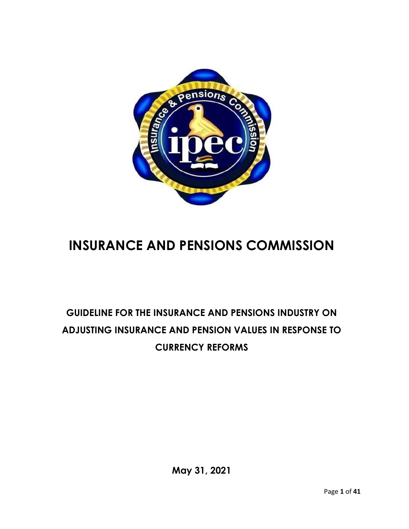

# **INSURANCE AND PENSIONS COMMISSION**

# **GUIDELINE FOR THE INSURANCE AND PENSIONS INDUSTRY ON ADJUSTING INSURANCE AND PENSION VALUES IN RESPONSE TO CURRENCY REFORMS**

**May 31, 2021**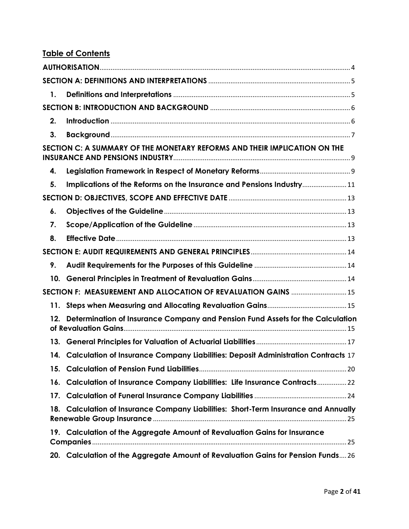| 1.  |                                                                                       |  |
|-----|---------------------------------------------------------------------------------------|--|
|     |                                                                                       |  |
| 2.  |                                                                                       |  |
| 3.  |                                                                                       |  |
|     | SECTION C: A SUMMARY OF THE MONETARY REFORMS AND THEIR IMPLICATION ON THE             |  |
| 4.  |                                                                                       |  |
| 5.  | Implications of the Reforms on the Insurance and Pensions Industry 11                 |  |
|     |                                                                                       |  |
| 6.  |                                                                                       |  |
| 7.  |                                                                                       |  |
| 8.  |                                                                                       |  |
|     |                                                                                       |  |
| 9.  |                                                                                       |  |
|     |                                                                                       |  |
|     | SECTION F: MEASUREMENT AND ALLOCATION OF REVALUATION GAINS  15                        |  |
|     |                                                                                       |  |
| 12. | Determination of Insurance Company and Pension Fund Assets for the Calculation        |  |
|     |                                                                                       |  |
|     | 14. Calculation of Insurance Company Liabilities: Deposit Administration Contracts 17 |  |
|     |                                                                                       |  |
|     | 16. Calculation of Insurance Company Liabilities: Life Insurance Contracts22          |  |
|     |                                                                                       |  |
|     | 18. Calculation of Insurance Company Liabilities: Short-Term Insurance and Annually   |  |
|     | 19. Calculation of the Aggregate Amount of Revaluation Gains for Insurance            |  |
|     | 20. Calculation of the Aggregate Amount of Revaluation Gains for Pension Funds 26     |  |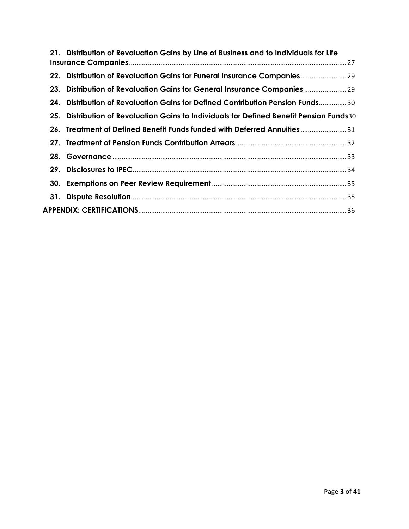|     | 21. Distribution of Revaluation Gains by Line of Business and to Individuals for Life    |
|-----|------------------------------------------------------------------------------------------|
|     | 22. Distribution of Revaluation Gains for Funeral Insurance Companies 29                 |
|     | 23. Distribution of Revaluation Gains for General Insurance Companies  29                |
|     | 24. Distribution of Revaluation Gains for Defined Contribution Pension Funds……………30      |
|     | 25. Distribution of Revaluation Gains to Individuals for Defined Benefit Pension Funds30 |
|     | 26. Treatment of Defined Benefit Funds funded with Deferred Annuities31                  |
|     |                                                                                          |
|     |                                                                                          |
| 29. |                                                                                          |
|     |                                                                                          |
| 31. |                                                                                          |
|     |                                                                                          |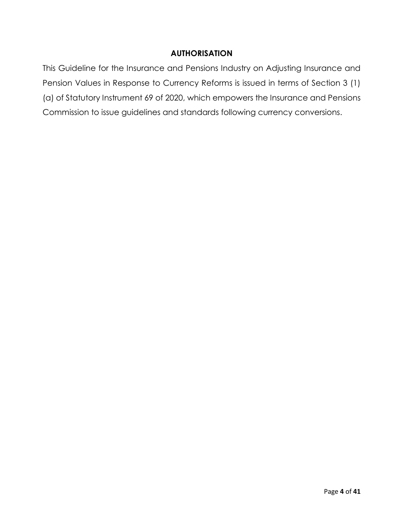#### **AUTHORISATION**

<span id="page-3-0"></span>This Guideline for the Insurance and Pensions Industry on Adjusting Insurance and Pension Values in Response to Currency Reforms is issued in terms of Section 3 (1) (a) of Statutory Instrument 69 of 2020, which empowers the Insurance and Pensions Commission to issue guidelines and standards following currency conversions.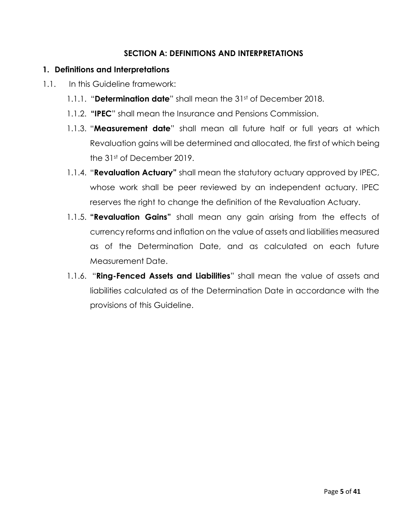#### **SECTION A: DEFINITIONS AND INTERPRETATIONS**

#### <span id="page-4-1"></span><span id="page-4-0"></span>**1. Definitions and Interpretations**

- 1.1. In this Guideline framework:
	- 1.1.1. "**Determination date**" shall mean the 31<sup>st</sup> of December 2018.
	- 1.1.2. **"IPEC**" shall mean the Insurance and Pensions Commission.
	- 1.1.3. "**Measurement date**" shall mean all future half or full years at which Revaluation gains will be determined and allocated, the first of which being the 31st of December 2019.
	- 1.1.4. "**Revaluation Actuary"** shall mean the statutory actuary approved by IPEC, whose work shall be peer reviewed by an independent actuary. IPEC reserves the right to change the definition of the Revaluation Actuary.
	- 1.1.5. **"Revaluation Gains"** shall mean any gain arising from the effects of currency reforms and inflation on the value of assets and liabilities measured as of the Determination Date, and as calculated on each future Measurement Date.
	- 1.1.6. "**Ring-Fenced Assets and Liabilities**" shall mean the value of assets and liabilities calculated as of the Determination Date in accordance with the provisions of this Guideline.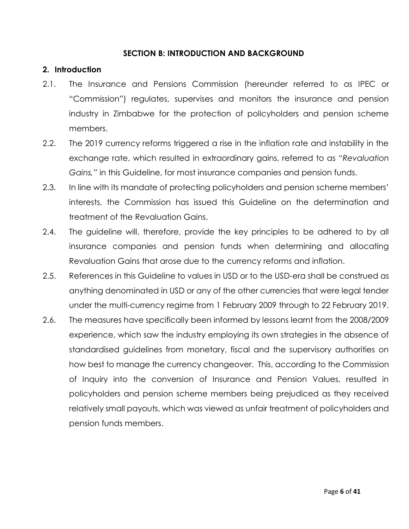#### **SECTION B: INTRODUCTION AND BACKGROUND**

#### <span id="page-5-1"></span><span id="page-5-0"></span>**2. Introduction**

- 2.1. The Insurance and Pensions Commission (hereunder referred to as IPEC or "Commission") regulates, supervises and monitors the insurance and pension industry in Zimbabwe for the protection of policyholders and pension scheme members.
- 2.2. The 2019 currency reforms triggered a rise in the inflation rate and instability in the exchange rate, which resulted in extraordinary gains, referred to as "*Revaluation Gains,"* in this Guideline, for most insurance companies and pension funds.
- 2.3. In line with its mandate of protecting policyholders and pension scheme members' interests, the Commission has issued this Guideline on the determination and treatment of the Revaluation Gains.
- 2.4. The guideline will, therefore, provide the key principles to be adhered to by all insurance companies and pension funds when determining and allocating Revaluation Gains that arose due to the currency reforms and inflation.
- 2.5. References in this Guideline to values in USD or to the USD-era shall be construed as anything denominated in USD or any of the other currencies that were legal tender under the multi-currency regime from 1 February 2009 through to 22 February 2019.
- 2.6. The measures have specifically been informed by lessons learnt from the 2008/2009 experience, which saw the industry employing its own strategies in the absence of standardised guidelines from monetary, fiscal and the supervisory authorities on how best to manage the currency changeover. This, according to the Commission of Inquiry into the conversion of Insurance and Pension Values, resulted in policyholders and pension scheme members being prejudiced as they received relatively small payouts, which was viewed as unfair treatment of policyholders and pension funds members.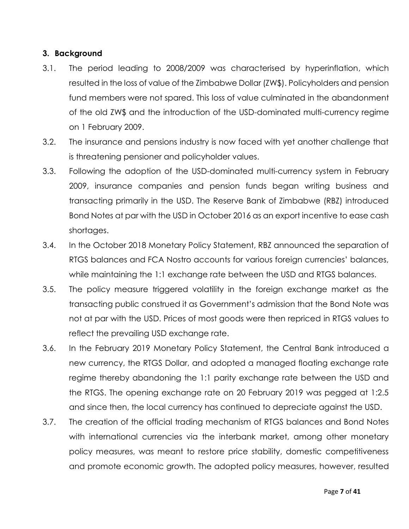### <span id="page-6-0"></span>**3. Background**

- 3.1. The period leading to 2008/2009 was characterised by hyperinflation, which resulted in the loss of value of the Zimbabwe Dollar (ZW\$). Policyholders and pension fund members were not spared. This loss of value culminated in the abandonment of the old ZW\$ and the introduction of the USD-dominated multi-currency regime on 1 February 2009.
- 3.2. The insurance and pensions industry is now faced with yet another challenge that is threatening pensioner and policyholder values.
- 3.3. Following the adoption of the USD-dominated multi-currency system in February 2009, insurance companies and pension funds began writing business and transacting primarily in the USD. The Reserve Bank of Zimbabwe (RBZ) introduced Bond Notes at par with the USD in October 2016 as an export incentive to ease cash shortages.
- 3.4. In the October 2018 Monetary Policy Statement, RBZ announced the separation of RTGS balances and FCA Nostro accounts for various foreign currencies' balances, while maintaining the 1:1 exchange rate between the USD and RTGS balances.
- 3.5. The policy measure triggered volatility in the foreign exchange market as the transacting public construed it as Government's admission that the Bond Note was not at par with the USD. Prices of most goods were then repriced in RTGS values to reflect the prevailing USD exchange rate.
- 3.6. In the February 2019 Monetary Policy Statement, the Central Bank introduced a new currency, the RTGS Dollar, and adopted a managed floating exchange rate regime thereby abandoning the 1:1 parity exchange rate between the USD and the RTGS. The opening exchange rate on 20 February 2019 was pegged at 1:2.5 and since then, the local currency has continued to depreciate against the USD.
- 3.7. The creation of the official trading mechanism of RTGS balances and Bond Notes with international currencies via the interbank market, among other monetary policy measures, was meant to restore price stability, domestic competitiveness and promote economic growth. The adopted policy measures, however, resulted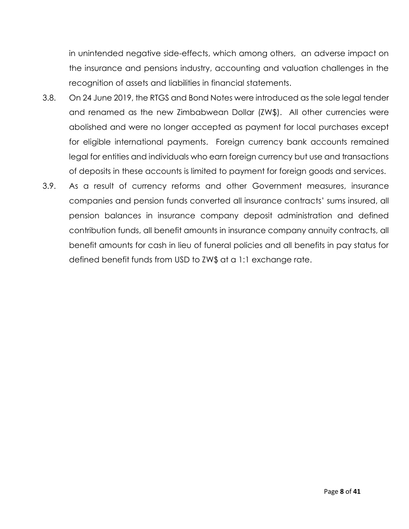in unintended negative side-effects, which among others, an adverse impact on the insurance and pensions industry, accounting and valuation challenges in the recognition of assets and liabilities in financial statements.

- 3.8. On 24 June 2019, the RTGS and Bond Notes were introduced as the sole legal tender and renamed as the new Zimbabwean Dollar (ZW\$). All other currencies were abolished and were no longer accepted as payment for local purchases except for eligible international payments. Foreign currency bank accounts remained legal for entities and individuals who earn foreign currency but use and transactions of deposits in these accounts is limited to payment for foreign goods and services.
- 3.9. As a result of currency reforms and other Government measures, insurance companies and pension funds converted all insurance contracts' sums insured, all pension balances in insurance company deposit administration and defined contribution funds, all benefit amounts in insurance company annuity contracts, all benefit amounts for cash in lieu of funeral policies and all benefits in pay status for defined benefit funds from USD to ZW\$ at a 1:1 exchange rate.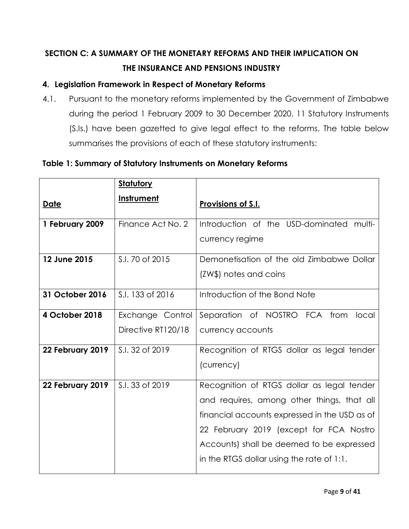# <span id="page-8-0"></span>**SECTION C: A SUMMARY OF THE MONETARY REFORMS AND THEIR IMPLICATION ON THE INSURANCE AND PENSIONS INDUSTRY**

# <span id="page-8-1"></span>**4. Legislation Framework in Respect of Monetary Reforms**

4.1. Pursuant to the monetary reforms implemented by the Government of Zimbabwe during the period 1 February 2009 to 30 December 2020, 11 Statutory Instruments (S.Is.) have been gazetted to give legal effect to the reforms. The table below summarises the provisions of each of these statutory instruments:

## **Table 1: Summary of Statutory Instruments on Monetary Reforms**

|                  | <b>Statutory</b>                       |                                                                                                                                                                                                                                                                                |
|------------------|----------------------------------------|--------------------------------------------------------------------------------------------------------------------------------------------------------------------------------------------------------------------------------------------------------------------------------|
| <u>Date</u>      | <b>Instrument</b>                      | Provisions of S.I.                                                                                                                                                                                                                                                             |
| 1 February 2009  | Finance Act No. 2                      | Introduction of the USD-dominated multi-<br>currency regime                                                                                                                                                                                                                    |
| 12 June 2015     | S.I. 70 of 2015                        | Demonetisation of the old Zimbabwe Dollar<br>(ZW\$) notes and coins                                                                                                                                                                                                            |
| 31 October 2016  | S.I. 133 of 2016                       | Introduction of the Bond Note                                                                                                                                                                                                                                                  |
| 4 October 2018   | Exchange Control<br>Directive RT120/18 | Separation of NOSTRO FCA from<br>local<br>currency accounts                                                                                                                                                                                                                    |
| 22 February 2019 | S.I. 32 of 2019                        | Recognition of RTGS dollar as legal tender<br>(currency)                                                                                                                                                                                                                       |
| 22 February 2019 | S.I. 33 of 2019                        | Recognition of RTGS dollar as legal tender<br>and requires, among other things, that all<br>financial accounts expressed in the USD as of<br>22 February 2019 (except for FCA Nostro<br>Accounts) shall be deemed to be expressed<br>in the RTGS dollar using the rate of 1:1. |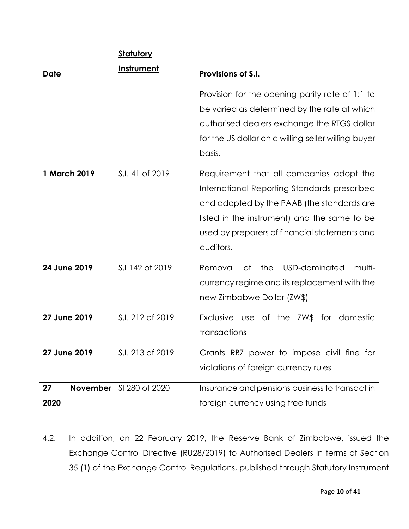|                               | <u>Statutory</u> |                                                                                                                                                                                                                                                      |
|-------------------------------|------------------|------------------------------------------------------------------------------------------------------------------------------------------------------------------------------------------------------------------------------------------------------|
| <u>Date</u>                   | Instrument       | Provisions of S.I.                                                                                                                                                                                                                                   |
|                               |                  | Provision for the opening parity rate of 1:1 to<br>be varied as determined by the rate at which<br>authorised dealers exchange the RTGS dollar<br>for the US dollar on a willing-seller willing-buyer<br>basis.                                      |
| 1 March 2019                  | S.I. 41 of 2019  | Requirement that all companies adopt the<br>International Reporting Standards prescribed<br>and adopted by the PAAB (the standards are<br>listed in the instrument) and the same to be<br>used by preparers of financial statements and<br>auditors. |
| 24 June 2019                  | S.I 142 of 2019  | USD-dominated<br><b>of</b><br>multi-<br>Removal<br>the<br>currency regime and its replacement with the<br>new Zimbabwe Dollar (ZW\$)                                                                                                                 |
| 27 June 2019                  | S.I. 212 of 2019 | Exclusive use of the ZW\$ for domestic<br>transactions                                                                                                                                                                                               |
| 27 June 2019                  | S.I. 213 of 2019 | Grants RBZ power to impose civil fine for<br>violations of foreign currency rules                                                                                                                                                                    |
| <b>November</b><br>27<br>2020 | SI 280 of 2020   | Insurance and pensions business to transact in<br>foreign currency using free funds                                                                                                                                                                  |

4.2. In addition, on 22 February 2019, the Reserve Bank of Zimbabwe, issued the Exchange Control Directive (RU28/2019) to Authorised Dealers in terms of Section 35 (1) of the Exchange Control Regulations, published through Statutory Instrument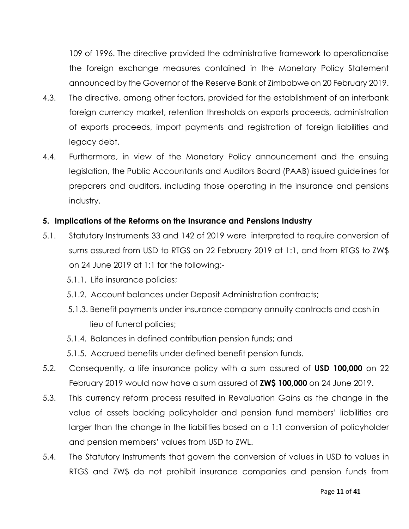109 of 1996. The directive provided the administrative framework to operationalise the foreign exchange measures contained in the Monetary Policy Statement announced by the Governor of the Reserve Bank of Zimbabwe on 20 February 2019.

- 4.3. The directive, among other factors, provided for the establishment of an interbank foreign currency market, retention thresholds on exports proceeds, administration of exports proceeds, import payments and registration of foreign liabilities and legacy debt.
- 4.4. Furthermore, in view of the Monetary Policy announcement and the ensuing legislation, the Public Accountants and Auditors Board (PAAB) issued guidelines for preparers and auditors, including those operating in the insurance and pensions industry.

#### <span id="page-10-0"></span>**5. Implications of the Reforms on the Insurance and Pensions Industry**

- 5.1. Statutory Instruments 33 and 142 of 2019 were interpreted to require conversion of sums assured from USD to RTGS on 22 February 2019 at 1:1, and from RTGS to ZW\$ on 24 June 2019 at 1:1 for the following:-
	- 5.1.1. Life insurance policies;
	- 5.1.2. Account balances under Deposit Administration contracts;
	- 5.1.3. Benefit payments under insurance company annuity contracts and cash in lieu of funeral policies;
	- 5.1.4. Balances in defined contribution pension funds; and
	- 5.1.5. Accrued benefits under defined benefit pension funds.
- 5.2. Consequently, a life insurance policy with a sum assured of **USD 100,000** on 22 February 2019 would now have a sum assured of **ZW\$ 100,000** on 24 June 2019.
- 5.3. This currency reform process resulted in Revaluation Gains as the change in the value of assets backing policyholder and pension fund members' liabilities are larger than the change in the liabilities based on a 1:1 conversion of policyholder and pension members' values from USD to ZWL.
- 5.4. The Statutory Instruments that govern the conversion of values in USD to values in RTGS and ZW\$ do not prohibit insurance companies and pension funds from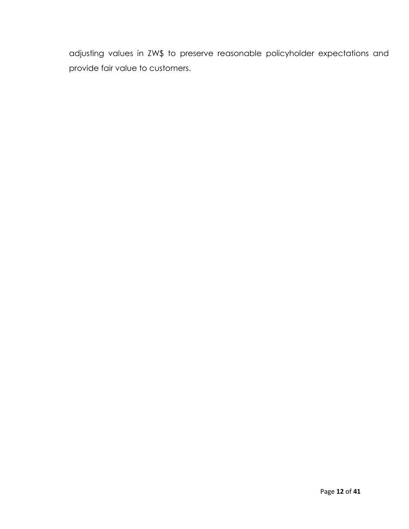adjusting values in ZW\$ to preserve reasonable policyholder expectations and provide fair value to customers.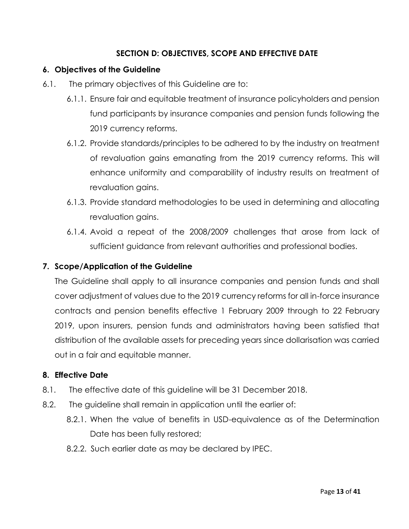## **SECTION D: OBJECTIVES, SCOPE AND EFFECTIVE DATE**

#### <span id="page-12-1"></span><span id="page-12-0"></span>**6. Objectives of the Guideline**

- 6.1. The primary objectives of this Guideline are to:
	- 6.1.1. Ensure fair and equitable treatment of insurance policyholders and pension fund participants by insurance companies and pension funds following the 2019 currency reforms.
	- 6.1.2. Provide standards/principles to be adhered to by the industry on treatment of revaluation gains emanating from the 2019 currency reforms. This will enhance uniformity and comparability of industry results on treatment of revaluation gains.
	- 6.1.3. Provide standard methodologies to be used in determining and allocating revaluation gains.
	- 6.1.4. Avoid a repeat of the 2008/2009 challenges that arose from lack of sufficient guidance from relevant authorities and professional bodies.

#### <span id="page-12-2"></span>**7. Scope/Application of the Guideline**

The Guideline shall apply to all insurance companies and pension funds and shall cover adjustment of values due to the 2019 currency reforms for all in-force insurance contracts and pension benefits effective 1 February 2009 through to 22 February 2019, upon insurers, pension funds and administrators having been satisfied that distribution of the available assets for preceding years since dollarisation was carried out in a fair and equitable manner.

#### <span id="page-12-3"></span>**8. Effective Date**

- 8.1. The effective date of this guideline will be 31 December 2018.
- 8.2. The guideline shall remain in application until the earlier of:
	- 8.2.1. When the value of benefits in USD-equivalence as of the Determination Date has been fully restored;
	- 8.2.2. Such earlier date as may be declared by IPEC.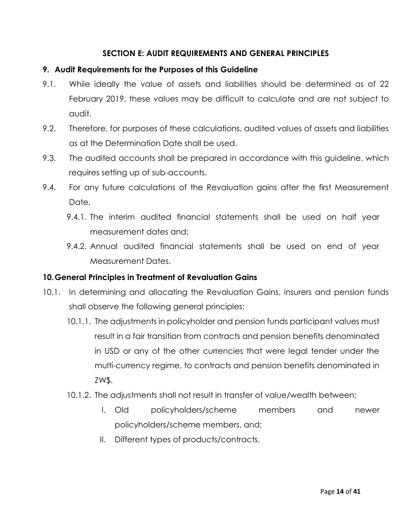## **SECTION E: AUDIT REQUIREMENTS AND GENERAL PRINCIPLES**

#### <span id="page-13-1"></span><span id="page-13-0"></span>**9. Audit Requirements for the Purposes of this Guideline**

- 9.1. While ideally the value of assets and liabilities should be determined as of 22 February 2019, these values may be difficult to calculate and are not subject to audit.
- 9.2. Therefore, for purposes of these calculations, audited values of assets and liabilities as at the Determination Date shall be used.
- 9.3. The audited accounts shall be prepared in accordance with this guideline, which requires setting up of sub-accounts.
- 9.4. For any future calculations of the Revaluation gains after the first Measurement Date,
	- 9.4.1. The interim audited financial statements shall be used on half year measurement dates and;
	- 9.4.2. Annual audited financial statements shall be used on end of year Measurement Dates.

### <span id="page-13-2"></span>**10.General Principles in Treatment of Revaluation Gains**

- 10.1. In determining and allocating the Revaluation Gains, insurers and pension funds shall observe the following general principles:
	- 10.1.1. The adjustments in policyholder and pension funds participant values must result in a fair transition from contracts and pension benefits denominated in USD or any of the other currencies that were legal tender under the multi-currency regime, to contracts and pension benefits denominated in ZW\$.
	- 10.1.2. The adjustments shall not result in transfer of value/wealth between;
		- I. Old policyholders/scheme members and newer policyholders/scheme members, and;
		- II. Different types of products/contracts.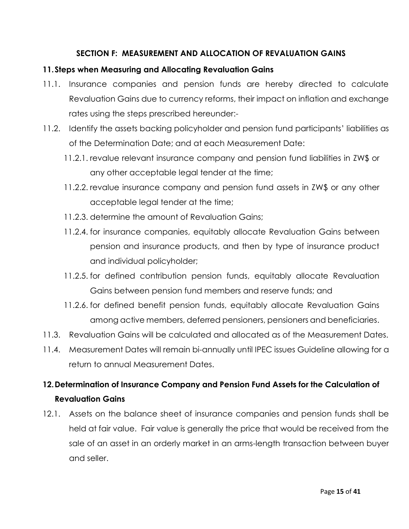### **SECTION F: MEASUREMENT AND ALLOCATION OF REVALUATION GAINS**

#### <span id="page-14-1"></span><span id="page-14-0"></span>**11.Steps when Measuring and Allocating Revaluation Gains**

- 11.1. Insurance companies and pension funds are hereby directed to calculate Revaluation Gains due to currency reforms, their impact on inflation and exchange rates using the steps prescribed hereunder:-
- 11.2. Identify the assets backing policyholder and pension fund participants' liabilities as of the Determination Date; and at each Measurement Date:
	- 11.2.1. revalue relevant insurance company and pension fund liabilities in ZW\$ or any other acceptable legal tender at the time;
	- 11.2.2. revalue insurance company and pension fund assets in ZW\$ or any other acceptable legal tender at the time;
	- 11.2.3. determine the amount of Revaluation Gains;
	- 11.2.4. for insurance companies, equitably allocate Revaluation Gains between pension and insurance products, and then by type of insurance product and individual policyholder;
	- 11.2.5. for defined contribution pension funds, equitably allocate Revaluation Gains between pension fund members and reserve funds; and
	- 11.2.6. for defined benefit pension funds, equitably allocate Revaluation Gains among active members, deferred pensioners, pensioners and beneficiaries.
- 11.3. Revaluation Gains will be calculated and allocated as of the Measurement Dates.
- 11.4. Measurement Dates will remain bi-annually until IPEC issues Guideline allowing for a return to annual Measurement Dates.

# <span id="page-14-2"></span>**12.Determination of Insurance Company and Pension Fund Assets for the Calculation of Revaluation Gains**

12.1. Assets on the balance sheet of insurance companies and pension funds shall be held at fair value. Fair value is generally the price that would be received from the sale of an asset in an orderly market in an arms-length transaction between buyer and seller.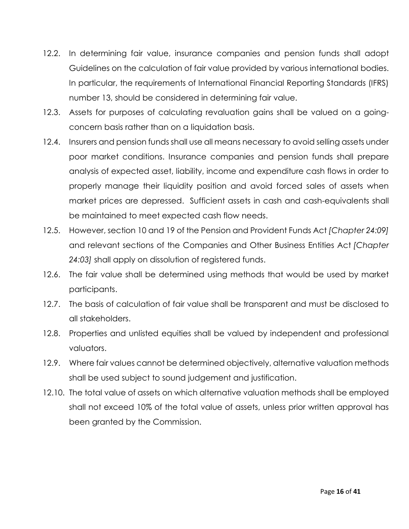- 12.2. In determining fair value, insurance companies and pension funds shall adopt Guidelines on the calculation of fair value provided by various international bodies. In particular, the requirements of International Financial Reporting Standards (IFRS) number 13, should be considered in determining fair value.
- 12.3. Assets for purposes of calculating revaluation gains shall be valued on a goingconcern basis rather than on a liquidation basis.
- 12.4. Insurers and pension funds shall use all means necessary to avoid selling assets under poor market conditions. Insurance companies and pension funds shall prepare analysis of expected asset, liability, income and expenditure cash flows in order to properly manage their liquidity position and avoid forced sales of assets when market prices are depressed. Sufficient assets in cash and cash-equivalents shall be maintained to meet expected cash flow needs.
- 12.5. However, section 10 and 19 of the Pension and Provident Funds Act *[Chapter 24:09]* and relevant sections of the Companies and Other Business Entities Act *[Chapter 24:03]* shall apply on dissolution of registered funds.
- 12.6. The fair value shall be determined using methods that would be used by market participants.
- 12.7. The basis of calculation of fair value shall be transparent and must be disclosed to all stakeholders.
- 12.8. Properties and unlisted equities shall be valued by independent and professional valuators.
- 12.9. Where fair values cannot be determined objectively, alternative valuation methods shall be used subject to sound judgement and justification.
- 12.10. The total value of assets on which alternative valuation methods shall be employed shall not exceed 10% of the total value of assets, unless prior written approval has been granted by the Commission.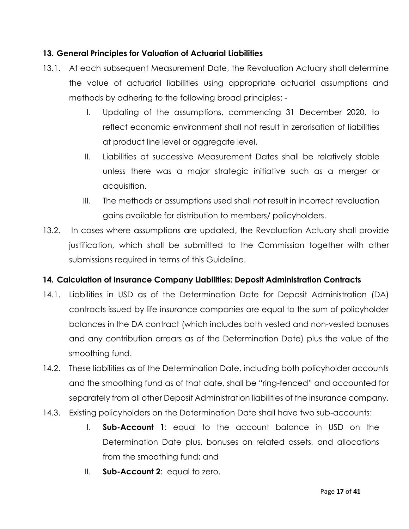### <span id="page-16-0"></span>**13. General Principles for Valuation of Actuarial Liabilities**

- 13.1. At each subsequent Measurement Date, the Revaluation Actuary shall determine the value of actuarial liabilities using appropriate actuarial assumptions and methods by adhering to the following broad principles: -
	- I. Updating of the assumptions, commencing 31 December 2020, to reflect economic environment shall not result in zerorisation of liabilities at product line level or aggregate level.
	- II. Liabilities at successive Measurement Dates shall be relatively stable unless there was a major strategic initiative such as a merger or acquisition.
	- III. The methods or assumptions used shall not result in incorrect revaluation gains available for distribution to members/ policyholders.
- 13.2. In cases where assumptions are updated, the Revaluation Actuary shall provide justification, which shall be submitted to the Commission together with other submissions required in terms of this Guideline.

# <span id="page-16-1"></span>**14. Calculation of Insurance Company Liabilities: Deposit Administration Contracts**

- 14.1. Liabilities in USD as of the Determination Date for Deposit Administration (DA) contracts issued by life insurance companies are equal to the sum of policyholder balances in the DA contract (which includes both vested and non-vested bonuses and any contribution arrears as of the Determination Date) plus the value of the smoothing fund.
- 14.2. These liabilities as of the Determination Date, including both policyholder accounts and the smoothing fund as of that date, shall be "ring-fenced" and accounted for separately from all other Deposit Administration liabilities of the insurance company.
- 14.3. Existing policyholders on the Determination Date shall have two sub-accounts:
	- I. **Sub-Account 1**: equal to the account balance in USD on the Determination Date plus, bonuses on related assets, and allocations from the smoothing fund; and
	- II. **Sub-Account 2**: equal to zero.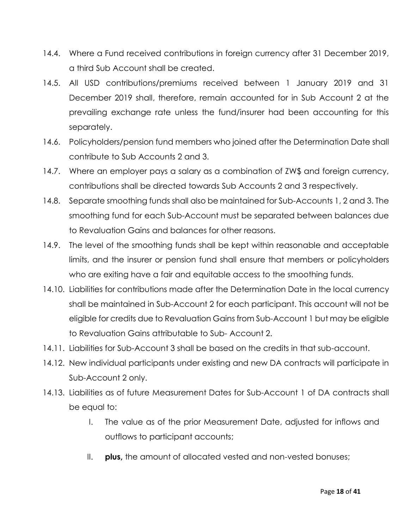- 14.4. Where a Fund received contributions in foreign currency after 31 December 2019, a third Sub Account shall be created.
- 14.5. All USD contributions/premiums received between 1 January 2019 and 31 December 2019 shall, therefore, remain accounted for in Sub Account 2 at the prevailing exchange rate unless the fund/insurer had been accounting for this separately.
- 14.6. Policyholders/pension fund members who joined after the Determination Date shall contribute to Sub Accounts 2 and 3.
- 14.7. Where an employer pays a salary as a combination of ZW\$ and foreign currency, contributions shall be directed towards Sub Accounts 2 and 3 respectively.
- 14.8. Separate smoothing funds shall also be maintained for Sub-Accounts 1, 2 and 3. The smoothing fund for each Sub-Account must be separated between balances due to Revaluation Gains and balances for other reasons.
- 14.9. The level of the smoothing funds shall be kept within reasonable and acceptable limits, and the insurer or pension fund shall ensure that members or policyholders who are exiting have a fair and equitable access to the smoothing funds.
- 14.10. Liabilities for contributions made after the Determination Date in the local currency shall be maintained in Sub-Account 2 for each participant. This account will not be eligible for credits due to Revaluation Gains from Sub-Account 1 but may be eligible to Revaluation Gains attributable to Sub- Account 2.
- 14.11. Liabilities for Sub-Account 3 shall be based on the credits in that sub-account.
- 14.12. New individual participants under existing and new DA contracts will participate in Sub-Account 2 only.
- 14.13. Liabilities as of future Measurement Dates for Sub-Account 1 of DA contracts shall be equal to:
	- I. The value as of the prior Measurement Date, adjusted for inflows and outflows to participant accounts;
	- II. **plus,** the amount of allocated vested and non-vested bonuses;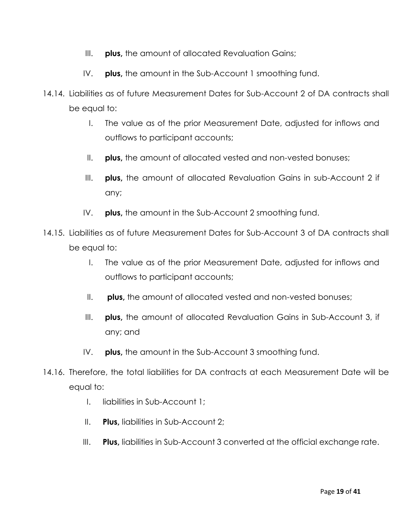- III. **plus**, the amount of allocated Revaluation Gains;
- IV. **plus,** the amount in the Sub-Account 1 smoothing fund.
- 14.14. Liabilities as of future Measurement Dates for Sub-Account 2 of DA contracts shall be equal to:
	- I. The value as of the prior Measurement Date, adjusted for inflows and outflows to participant accounts;
	- II. **plus,** the amount of allocated vested and non-vested bonuses;
	- III. **plus,** the amount of allocated Revaluation Gains in sub-Account 2 if any;
	- IV. **plus,** the amount in the Sub-Account 2 smoothing fund.
- 14.15. Liabilities as of future Measurement Dates for Sub-Account 3 of DA contracts shall be equal to:
	- I. The value as of the prior Measurement Date, adjusted for inflows and outflows to participant accounts;
	- II. **plus,** the amount of allocated vested and non-vested bonuses;
	- III. **plus,** the amount of allocated Revaluation Gains in Sub-Account 3, if any; and
	- IV. **plus,** the amount in the Sub-Account 3 smoothing fund.
- 14.16. Therefore, the total liabilities for DA contracts at each Measurement Date will be equal to:
	- I. liabilities in Sub-Account 1;
	- II. **Plus,** liabilities in Sub-Account 2;
	- III. **Plus,** liabilities in Sub-Account 3 converted at the official exchange rate.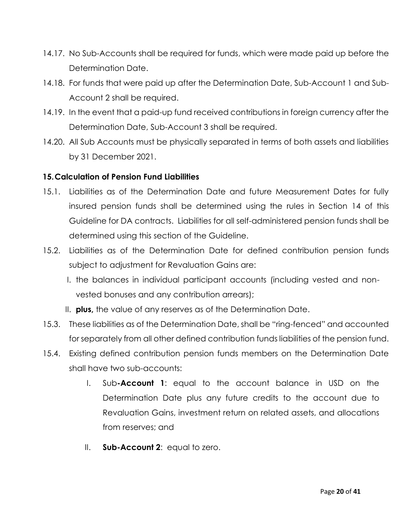- 14.17. No Sub-Accounts shall be required for funds, which were made paid up before the Determination Date.
- 14.18. For funds that were paid up after the Determination Date, Sub-Account 1 and Sub-Account 2 shall be required.
- 14.19. In the event that a paid-up fund received contributions in foreign currency after the Determination Date, Sub-Account 3 shall be required.
- 14.20. All Sub Accounts must be physically separated in terms of both assets and liabilities by 31 December 2021.

### <span id="page-19-0"></span>**15.Calculation of Pension Fund Liabilities**

- 15.1. Liabilities as of the Determination Date and future Measurement Dates for fully insured pension funds shall be determined using the rules in Section 14 of this Guideline for DA contracts. Liabilities for all self-administered pension funds shall be determined using this section of the Guideline.
- 15.2. Liabilities as of the Determination Date for defined contribution pension funds subject to adjustment for Revaluation Gains are:
	- I. the balances in individual participant accounts (including vested and nonvested bonuses and any contribution arrears);
	- II. **plus,** the value of any reserves as of the Determination Date.
- 15.3. These liabilities as of the Determination Date, shall be "ring-fenced" and accounted for separately from all other defined contribution funds liabilities of the pension fund.
- 15.4. Existing defined contribution pension funds members on the Determination Date shall have two sub-accounts:
	- I. Sub**-Account 1**: equal to the account balance in USD on the Determination Date plus any future credits to the account due to Revaluation Gains, investment return on related assets, and allocations from reserves; and
	- II. **Sub-Account 2**: equal to zero.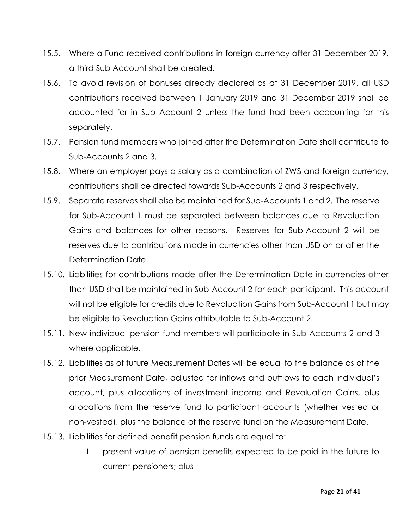- 15.5. Where a Fund received contributions in foreign currency after 31 December 2019, a third Sub Account shall be created.
- 15.6. To avoid revision of bonuses already declared as at 31 December 2019, all USD contributions received between 1 January 2019 and 31 December 2019 shall be accounted for in Sub Account 2 unless the fund had been accounting for this separately.
- 15.7. Pension fund members who joined after the Determination Date shall contribute to Sub-Accounts 2 and 3.
- 15.8. Where an employer pays a salary as a combination of ZW\$ and foreign currency, contributions shall be directed towards Sub-Accounts 2 and 3 respectively.
- 15.9. Separate reserves shall also be maintained for Sub-Accounts 1 and 2. The reserve for Sub-Account 1 must be separated between balances due to Revaluation Gains and balances for other reasons. Reserves for Sub-Account 2 will be reserves due to contributions made in currencies other than USD on or after the Determination Date.
- 15.10. Liabilities for contributions made after the Determination Date in currencies other than USD shall be maintained in Sub-Account 2 for each participant. This account will not be eligible for credits due to Revaluation Gains from Sub-Account 1 but may be eligible to Revaluation Gains attributable to Sub-Account 2.
- 15.11. New individual pension fund members will participate in Sub-Accounts 2 and 3 where applicable.
- 15.12. Liabilities as of future Measurement Dates will be equal to the balance as of the prior Measurement Date, adjusted for inflows and outflows to each individual's account, plus allocations of investment income and Revaluation Gains, plus allocations from the reserve fund to participant accounts (whether vested or non-vested), plus the balance of the reserve fund on the Measurement Date.
- 15.13. Liabilities for defined benefit pension funds are equal to:
	- I. present value of pension benefits expected to be paid in the future to current pensioners; plus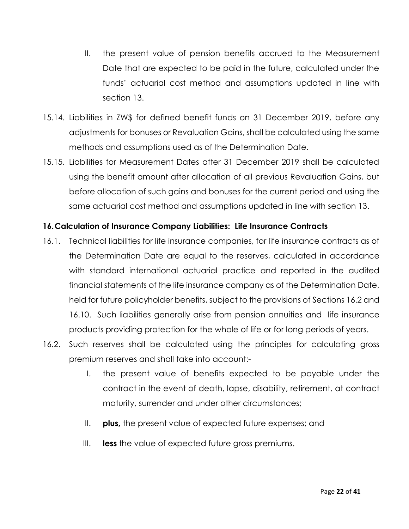- II. the present value of pension benefits accrued to the Measurement Date that are expected to be paid in the future, calculated under the funds' actuarial cost method and assumptions updated in line with section 13.
- 15.14. Liabilities in ZW\$ for defined benefit funds on 31 December 2019, before any adjustments for bonuses or Revaluation Gains, shall be calculated using the same methods and assumptions used as of the Determination Date.
- 15.15. Liabilities for Measurement Dates after 31 December 2019 shall be calculated using the benefit amount after allocation of all previous Revaluation Gains, but before allocation of such gains and bonuses for the current period and using the same actuarial cost method and assumptions updated in line with section 13.

## <span id="page-21-0"></span>**16.Calculation of Insurance Company Liabilities: Life Insurance Contracts**

- 16.1. Technical liabilities for life insurance companies, for life insurance contracts as of the Determination Date are equal to the reserves, calculated in accordance with standard international actuarial practice and reported in the audited financial statements of the life insurance company as of the Determination Date, held for future policyholder benefits, subject to the provisions of Sections 16.2 and 16.10. Such liabilities generally arise from pension annuities and life insurance products providing protection for the whole of life or for long periods of years.
- 16.2. Such reserves shall be calculated using the principles for calculating gross premium reserves and shall take into account:-
	- I. the present value of benefits expected to be payable under the contract in the event of death, lapse, disability, retirement, at contract maturity, surrender and under other circumstances;
	- II. **plus,** the present value of expected future expenses; and
	- III. **less** the value of expected future gross premiums.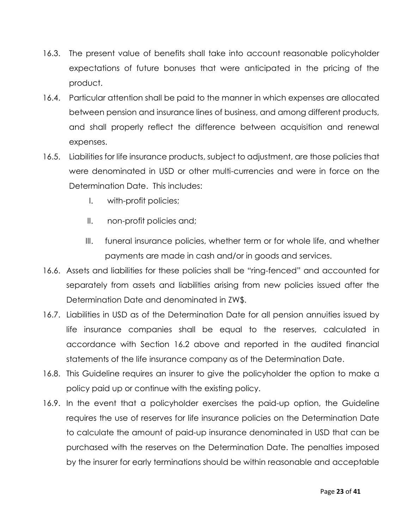- 16.3. The present value of benefits shall take into account reasonable policyholder expectations of future bonuses that were anticipated in the pricing of the product.
- 16.4. Particular attention shall be paid to the manner in which expenses are allocated between pension and insurance lines of business, and among different products, and shall properly reflect the difference between acquisition and renewal expenses.
- 16.5. Liabilities for life insurance products, subject to adjustment, are those policies that were denominated in USD or other multi-currencies and were in force on the Determination Date. This includes:
	- I. with-profit policies;
	- II. non-profit policies and;
	- III. funeral insurance policies, whether term or for whole life, and whether payments are made in cash and/or in goods and services.
- 16.6. Assets and liabilities for these policies shall be "ring-fenced" and accounted for separately from assets and liabilities arising from new policies issued after the Determination Date and denominated in ZW\$.
- 16.7. Liabilities in USD as of the Determination Date for all pension annuities issued by life insurance companies shall be equal to the reserves, calculated in accordance with Section 16.2 above and reported in the audited financial statements of the life insurance company as of the Determination Date.
- 16.8. This Guideline requires an insurer to give the policyholder the option to make a policy paid up or continue with the existing policy.
- 16.9. In the event that a policyholder exercises the paid-up option, the Guideline requires the use of reserves for life insurance policies on the Determination Date to calculate the amount of paid-up insurance denominated in USD that can be purchased with the reserves on the Determination Date. The penalties imposed by the insurer for early terminations should be within reasonable and acceptable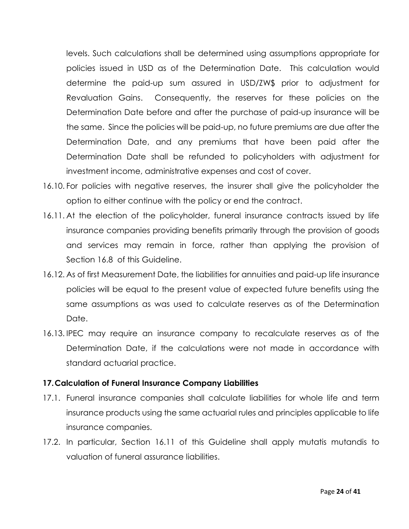levels. Such calculations shall be determined using assumptions appropriate for policies issued in USD as of the Determination Date. This calculation would determine the paid-up sum assured in USD/ZW\$ prior to adjustment for Revaluation Gains. Consequently, the reserves for these policies on the Determination Date before and after the purchase of paid-up insurance will be the same. Since the policies will be paid-up, no future premiums are due after the Determination Date, and any premiums that have been paid after the Determination Date shall be refunded to policyholders with adjustment for investment income, administrative expenses and cost of cover.

- 16.10. For policies with negative reserves, the insurer shall give the policyholder the option to either continue with the policy or end the contract.
- 16.11. At the election of the policyholder, funeral insurance contracts issued by life insurance companies providing benefits primarily through the provision of goods and services may remain in force, rather than applying the provision of Section 16.8 of this Guideline.
- 16.12. As of first Measurement Date, the liabilities for annuities and paid-up life insurance policies will be equal to the present value of expected future benefits using the same assumptions as was used to calculate reserves as of the Determination Date.
- 16.13. IPEC may require an insurance company to recalculate reserves as of the Determination Date, if the calculations were not made in accordance with standard actuarial practice.

### <span id="page-23-0"></span>**17.Calculation of Funeral Insurance Company Liabilities**

- 17.1. Funeral insurance companies shall calculate liabilities for whole life and term insurance products using the same actuarial rules and principles applicable to life insurance companies.
- 17.2. In particular, Section 16.11 of this Guideline shall apply mutatis mutandis to valuation of funeral assurance liabilities.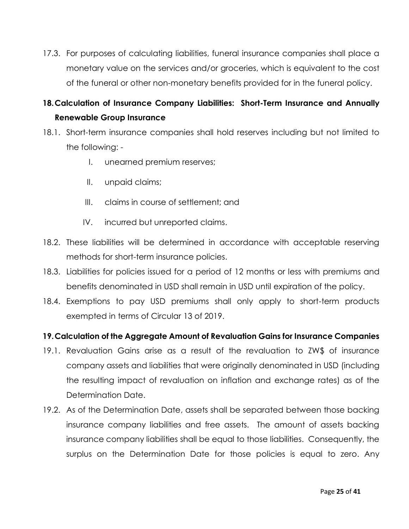17.3. For purposes of calculating liabilities, funeral insurance companies shall place a monetary value on the services and/or groceries, which is equivalent to the cost of the funeral or other non-monetary benefits provided for in the funeral policy.

# <span id="page-24-0"></span>**18.Calculation of Insurance Company Liabilities: Short-Term Insurance and Annually Renewable Group Insurance**

- 18.1. Short-term insurance companies shall hold reserves including but not limited to the following: -
	- I. unearned premium reserves;
	- II. unpaid claims;
	- III. claims in course of settlement; and
	- IV. incurred but unreported claims.
- 18.2. These liabilities will be determined in accordance with acceptable reserving methods for short-term insurance policies.
- 18.3. Liabilities for policies issued for a period of 12 months or less with premiums and benefits denominated in USD shall remain in USD until expiration of the policy.
- 18.4. Exemptions to pay USD premiums shall only apply to short-term products exempted in terms of Circular 13 of 2019.

### <span id="page-24-1"></span>**19.Calculation of the Aggregate Amount of Revaluation Gains for Insurance Companies**

- 19.1. Revaluation Gains arise as a result of the revaluation to ZW\$ of insurance company assets and liabilities that were originally denominated in USD (including the resulting impact of revaluation on inflation and exchange rates) as of the Determination Date.
- 19.2. As of the Determination Date, assets shall be separated between those backing insurance company liabilities and free assets. The amount of assets backing insurance company liabilities shall be equal to those liabilities. Consequently, the surplus on the Determination Date for those policies is equal to zero. Any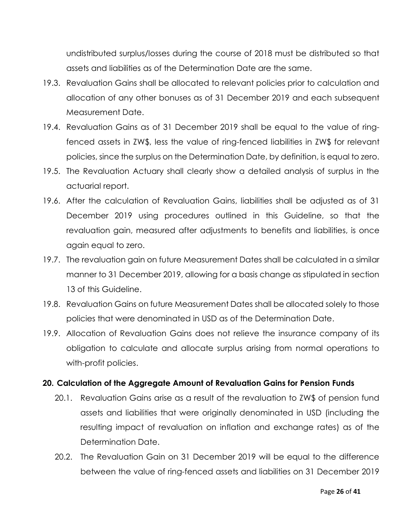undistributed surplus/losses during the course of 2018 must be distributed so that assets and liabilities as of the Determination Date are the same.

- 19.3. Revaluation Gains shall be allocated to relevant policies prior to calculation and allocation of any other bonuses as of 31 December 2019 and each subsequent Measurement Date.
- 19.4. Revaluation Gains as of 31 December 2019 shall be equal to the value of ringfenced assets in ZW\$, less the value of ring-fenced liabilities in ZW\$ for relevant policies, since the surplus on the Determination Date, by definition, is equal to zero.
- 19.5. The Revaluation Actuary shall clearly show a detailed analysis of surplus in the actuarial report.
- 19.6. After the calculation of Revaluation Gains, liabilities shall be adjusted as of 31 December 2019 using procedures outlined in this Guideline, so that the revaluation gain, measured after adjustments to benefits and liabilities, is once again equal to zero.
- 19.7. The revaluation gain on future Measurement Dates shall be calculated in a similar manner to 31 December 2019, allowing for a basis change as stipulated in section 13 of this Guideline.
- 19.8. Revaluation Gains on future Measurement Dates shall be allocated solely to those policies that were denominated in USD as of the Determination Date.
- 19.9. Allocation of Revaluation Gains does not relieve the insurance company of its obligation to calculate and allocate surplus arising from normal operations to with-profit policies.

### <span id="page-25-0"></span>**20. Calculation of the Aggregate Amount of Revaluation Gains for Pension Funds**

- 20.1. Revaluation Gains arise as a result of the revaluation to ZW\$ of pension fund assets and liabilities that were originally denominated in USD (including the resulting impact of revaluation on inflation and exchange rates) as of the Determination Date.
- 20.2. The Revaluation Gain on 31 December 2019 will be equal to the difference between the value of ring-fenced assets and liabilities on 31 December 2019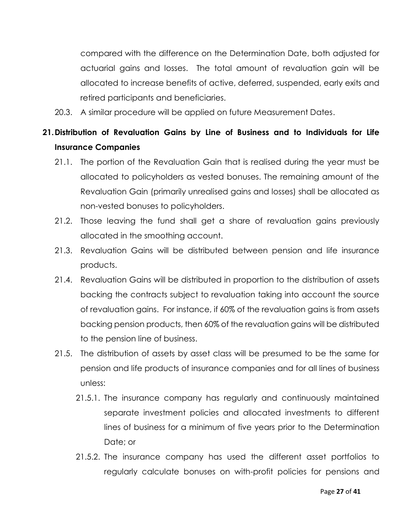compared with the difference on the Determination Date, both adjusted for actuarial gains and losses. The total amount of revaluation gain will be allocated to increase benefits of active, deferred, suspended, early exits and retired participants and beneficiaries.

20.3. A similar procedure will be applied on future Measurement Dates.

# <span id="page-26-0"></span>**21.Distribution of Revaluation Gains by Line of Business and to Individuals for Life Insurance Companies**

- 21.1. The portion of the Revaluation Gain that is realised during the year must be allocated to policyholders as vested bonuses. The remaining amount of the Revaluation Gain (primarily unrealised gains and losses) shall be allocated as non-vested bonuses to policyholders.
- 21.2. Those leaving the fund shall get a share of revaluation gains previously allocated in the smoothing account.
- 21.3. Revaluation Gains will be distributed between pension and life insurance products.
- 21.4. Revaluation Gains will be distributed in proportion to the distribution of assets backing the contracts subject to revaluation taking into account the source of revaluation gains. For instance, if 60% of the revaluation gains is from assets backing pension products, then 60% of the revaluation gains will be distributed to the pension line of business.
- 21.5. The distribution of assets by asset class will be presumed to be the same for pension and life products of insurance companies and for all lines of business unless:
	- 21.5.1. The insurance company has regularly and continuously maintained separate investment policies and allocated investments to different lines of business for a minimum of five years prior to the Determination Date; or
	- 21.5.2. The insurance company has used the different asset portfolios to regularly calculate bonuses on with-profit policies for pensions and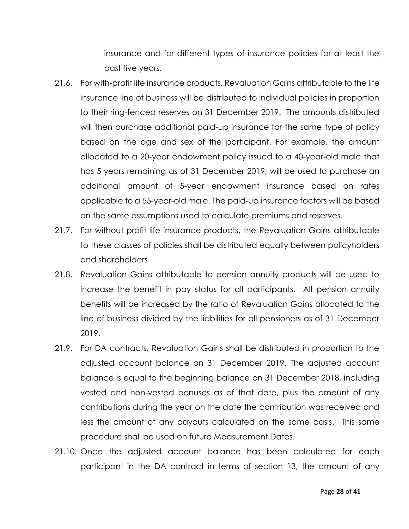insurance and for different types of insurance policies for at least the past five years.

- 21.6. For with-profit life insurance products, Revaluation Gains attributable to the life insurance line of business will be distributed to individual policies in proportion to their ring-fenced reserves on 31 December 2019. The amounts distributed will then purchase additional paid-up insurance for the same type of policy based on the age and sex of the participant. For example, the amount allocated to a 20-year endowment policy issued to a 40-year-old male that has 5 years remaining as of 31 December 2019, will be used to purchase an additional amount of 5-year endowment insurance based on rates applicable to a 55-year-old male. The paid-up insurance factors will be based on the same assumptions used to calculate premiums and reserves.
- 21.7. For without profit life insurance products, the Revaluation Gains attributable to these classes of policies shall be distributed equally between policyholders and shareholders.
- 21.8. Revaluation Gains attributable to pension annuity products will be used to increase the benefit in pay status for all participants. All pension annuity benefits will be increased by the ratio of Revaluation Gains allocated to the line of business divided by the liabilities for all pensioners as of 31 December 2019.
- 21.9. For DA contracts, Revaluation Gains shall be distributed in proportion to the adjusted account balance on 31 December 2019. The adjusted account balance is equal to the beginning balance on 31 December 2018, including vested and non-vested bonuses as of that date, plus the amount of any contributions during the year on the date the contribution was received and less the amount of any payouts calculated on the same basis. This same procedure shall be used on future Measurement Dates.
- 21.10. Once the adjusted account balance has been calculated for each participant in the DA contract in terms of section 13, the amount of any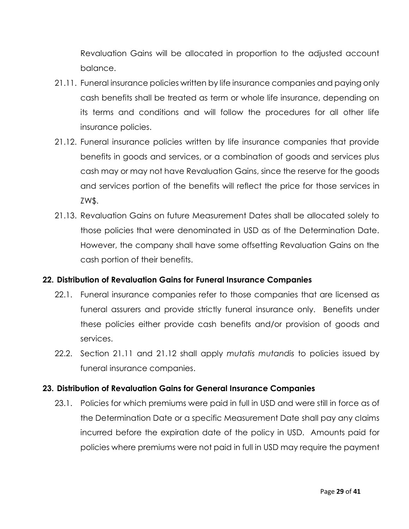Revaluation Gains will be allocated in proportion to the adjusted account balance.

- 21.11. Funeral insurance policies written by life insurance companies and paying only cash benefits shall be treated as term or whole life insurance, depending on its terms and conditions and will follow the procedures for all other life insurance policies.
- 21.12. Funeral insurance policies written by life insurance companies that provide benefits in goods and services, or a combination of goods and services plus cash may or may not have Revaluation Gains, since the reserve for the goods and services portion of the benefits will reflect the price for those services in ZW\$.
- 21.13. Revaluation Gains on future Measurement Dates shall be allocated solely to those policies that were denominated in USD as of the Determination Date. However, the company shall have some offsetting Revaluation Gains on the cash portion of their benefits.

### <span id="page-28-0"></span>**22. Distribution of Revaluation Gains for Funeral Insurance Companies**

- 22.1. Funeral insurance companies refer to those companies that are licensed as funeral assurers and provide strictly funeral insurance only. Benefits under these policies either provide cash benefits and/or provision of goods and services.
- 22.2. Section 21.11 and 21.12 shall apply *mutatis mutandis* to policies issued by funeral insurance companies.

### <span id="page-28-1"></span>**23. Distribution of Revaluation Gains for General Insurance Companies**

23.1. Policies for which premiums were paid in full in USD and were still in force as of the Determination Date or a specific Measurement Date shall pay any claims incurred before the expiration date of the policy in USD. Amounts paid for policies where premiums were not paid in full in USD may require the payment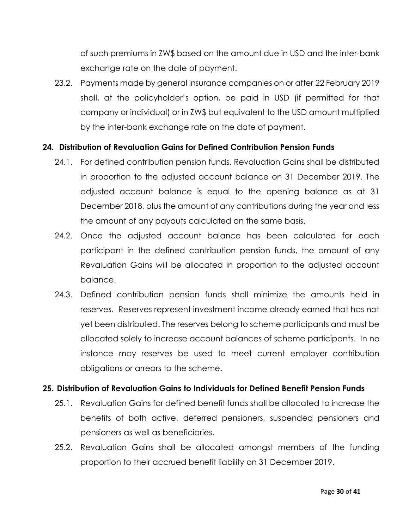of such premiums in ZW\$ based on the amount due in USD and the inter-bank exchange rate on the date of payment.

23.2. Payments made by general insurance companies on or after 22 February 2019 shall, at the policyholder's option, be paid in USD (if permitted for that company or individual) or in ZW\$ but equivalent to the USD amount multiplied by the inter-bank exchange rate on the date of payment.

#### <span id="page-29-0"></span>**24. Distribution of Revaluation Gains for Defined Contribution Pension Funds**

- 24.1. For defined contribution pension funds, Revaluation Gains shall be distributed in proportion to the adjusted account balance on 31 December 2019. The adjusted account balance is equal to the opening balance as at 31 December 2018, plus the amount of any contributions during the year and less the amount of any payouts calculated on the same basis.
- 24.2. Once the adjusted account balance has been calculated for each participant in the defined contribution pension funds, the amount of any Revaluation Gains will be allocated in proportion to the adjusted account balance.
- 24.3. Defined contribution pension funds shall minimize the amounts held in reserves. Reserves represent investment income already earned that has not yet been distributed. The reserves belong to scheme participants and must be allocated solely to increase account balances of scheme participants. In no instance may reserves be used to meet current employer contribution obligations or arrears to the scheme.

#### <span id="page-29-1"></span>**25. Distribution of Revaluation Gains to Individuals for Defined Benefit Pension Funds**

- 25.1. Revaluation Gains for defined benefit funds shall be allocated to increase the benefits of both active, deferred pensioners, suspended pensioners and pensioners as well as beneficiaries.
- 25.2. Revaluation Gains shall be allocated amongst members of the funding proportion to their accrued benefit liability on 31 December 2019.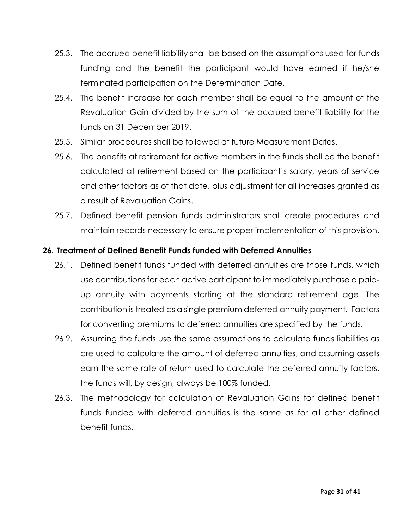- 25.3. The accrued benefit liability shall be based on the assumptions used for funds funding and the benefit the participant would have earned if he/she terminated participation on the Determination Date.
- 25.4. The benefit increase for each member shall be equal to the amount of the Revaluation Gain divided by the sum of the accrued benefit liability for the funds on 31 December 2019.
- 25.5. Similar procedures shall be followed at future Measurement Dates.
- 25.6. The benefits at retirement for active members in the funds shall be the benefit calculated at retirement based on the participant's salary, years of service and other factors as of that date, plus adjustment for all increases granted as a result of Revaluation Gains.
- 25.7. Defined benefit pension funds administrators shall create procedures and maintain records necessary to ensure proper implementation of this provision.

## <span id="page-30-0"></span>**26. Treatment of Defined Benefit Funds funded with Deferred Annuities**

- 26.1. Defined benefit funds funded with deferred annuities are those funds, which use contributions for each active participant to immediately purchase a paidup annuity with payments starting at the standard retirement age. The contribution is treated as a single premium deferred annuity payment. Factors for converting premiums to deferred annuities are specified by the funds.
- 26.2. Assuming the funds use the same assumptions to calculate funds liabilities as are used to calculate the amount of deferred annuities, and assuming assets earn the same rate of return used to calculate the deferred annuity factors, the funds will, by design, always be 100% funded.
- 26.3. The methodology for calculation of Revaluation Gains for defined benefit funds funded with deferred annuities is the same as for all other defined benefit funds.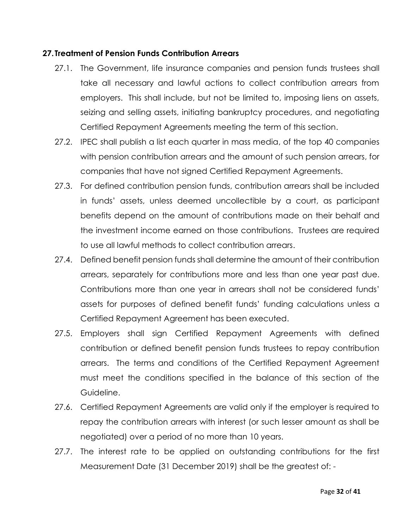#### <span id="page-31-0"></span>**27.Treatment of Pension Funds Contribution Arrears**

- 27.1. The Government, life insurance companies and pension funds trustees shall take all necessary and lawful actions to collect contribution arrears from employers. This shall include, but not be limited to, imposing liens on assets, seizing and selling assets, initiating bankruptcy procedures, and negotiating Certified Repayment Agreements meeting the term of this section.
- 27.2. IPEC shall publish a list each quarter in mass media, of the top 40 companies with pension contribution arrears and the amount of such pension arrears, for companies that have not signed Certified Repayment Agreements.
- 27.3. For defined contribution pension funds, contribution arrears shall be included in funds' assets, unless deemed uncollectible by a court, as participant benefits depend on the amount of contributions made on their behalf and the investment income earned on those contributions. Trustees are required to use all lawful methods to collect contribution arrears.
- 27.4. Defined benefit pension funds shall determine the amount of their contribution arrears, separately for contributions more and less than one year past due. Contributions more than one year in arrears shall not be considered funds' assets for purposes of defined benefit funds' funding calculations unless a Certified Repayment Agreement has been executed.
- 27.5. Employers shall sign Certified Repayment Agreements with defined contribution or defined benefit pension funds trustees to repay contribution arrears. The terms and conditions of the Certified Repayment Agreement must meet the conditions specified in the balance of this section of the Guideline.
- 27.6. Certified Repayment Agreements are valid only if the employer is required to repay the contribution arrears with interest (or such lesser amount as shall be negotiated) over a period of no more than 10 years.
- 27.7. The interest rate to be applied on outstanding contributions for the first Measurement Date (31 December 2019) shall be the greatest of: -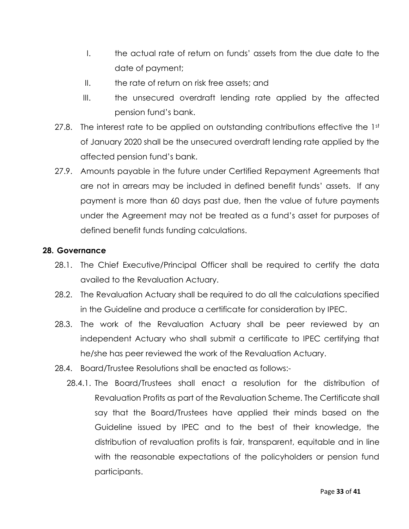- I. the actual rate of return on funds' assets from the due date to the date of payment;
- $II.$  the rate of return on risk free assets; and
- III. the unsecured overdraft lending rate applied by the affected pension fund's bank.
- 27.8. The interest rate to be applied on outstanding contributions effective the 1st of January 2020 shall be the unsecured overdraft lending rate applied by the affected pension fund's bank.
- 27.9. Amounts payable in the future under Certified Repayment Agreements that are not in arrears may be included in defined benefit funds' assets. If any payment is more than 60 days past due, then the value of future payments under the Agreement may not be treated as a fund's asset for purposes of defined benefit funds funding calculations.

#### <span id="page-32-0"></span>**28. Governance**

- 28.1. The Chief Executive/Principal Officer shall be required to certify the data availed to the Revaluation Actuary.
- 28.2. The Revaluation Actuary shall be required to do all the calculations specified in the Guideline and produce a certificate for consideration by IPEC.
- 28.3. The work of the Revaluation Actuary shall be peer reviewed by an independent Actuary who shall submit a certificate to IPEC certifying that he/she has peer reviewed the work of the Revaluation Actuary.
- 28.4. Board/Trustee Resolutions shall be enacted as follows:-
	- 28.4.1. The Board/Trustees shall enact a resolution for the distribution of Revaluation Profits as part of the Revaluation Scheme. The Certificate shall say that the Board/Trustees have applied their minds based on the Guideline issued by IPEC and to the best of their knowledge, the distribution of revaluation profits is fair, transparent, equitable and in line with the reasonable expectations of the policyholders or pension fund participants.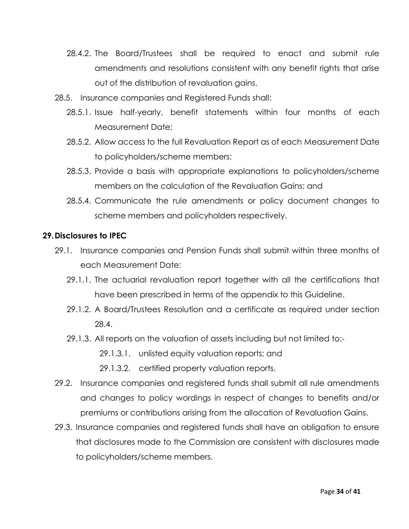- 28.4.2. The Board/Trustees shall be required to enact and submit rule amendments and resolutions consistent with any benefit rights that arise out of the distribution of revaluation gains.
- 28.5. Insurance companies and Registered Funds shall:
	- 28.5.1. Issue half-yearly, benefit statements within four months of each Measurement Date;
	- 28.5.2. Allow access to the full Revaluation Report as of each Measurement Date to policyholders/scheme members;
	- 28.5.3. Provide a basis with appropriate explanations to policyholders/scheme members on the calculation of the Revaluation Gains; and
	- 28.5.4. Communicate the rule amendments or policy document changes to scheme members and policyholders respectively.

#### <span id="page-33-0"></span>**29.Disclosures to IPEC**

- 29.1. Insurance companies and Pension Funds shall submit within three months of each Measurement Date:
	- 29.1.1. The actuarial revaluation report together with all the certifications that have been prescribed in terms of the appendix to this Guideline.
	- 29.1.2. A Board/Trustees Resolution and a certificate as required under section 28.4.
	- 29.1.3. All reports on the valuation of assets including but not limited to:-
		- 29.1.3.1. unlisted equity valuation reports; and
		- 29.1.3.2. certified property valuation reports.
- 29.2. Insurance companies and registered funds shall submit all rule amendments and changes to policy wordings in respect of changes to benefits and/or premiums or contributions arising from the allocation of Revaluation Gains.
- 29.3. Insurance companies and registered funds shall have an obligation to ensure that disclosures made to the Commission are consistent with disclosures made to policyholders/scheme members.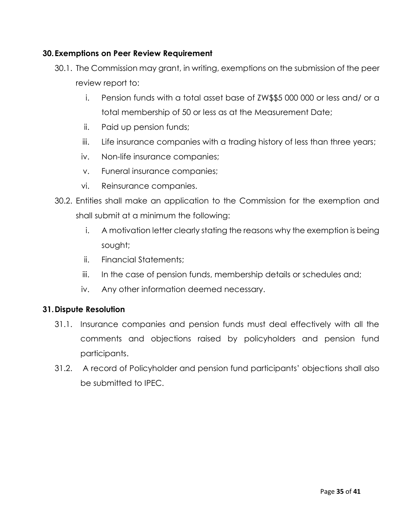### <span id="page-34-0"></span>**30.Exemptions on Peer Review Requirement**

- 30.1. The Commission may grant, in writing, exemptions on the submission of the peer review report to:
	- i. Pension funds with a total asset base of ZW\$\$5 000 000 or less and/ or a total membership of 50 or less as at the Measurement Date;
	- ii. Paid up pension funds;
	- iii. Life insurance companies with a trading history of less than three years;
	- iv. Non-life insurance companies;
	- v. Funeral insurance companies;
	- vi. Reinsurance companies.
- 30.2. Entities shall make an application to the Commission for the exemption and shall submit at a minimum the following:
	- i. A motivation letter clearly stating the reasons why the exemption is being sought;
	- ii. Financial Statements;
	- iii. In the case of pension funds, membership details or schedules and;
	- iv. Any other information deemed necessary.

### <span id="page-34-1"></span>**31.Dispute Resolution**

- 31.1. Insurance companies and pension funds must deal effectively with all the comments and objections raised by policyholders and pension fund participants.
- 31.2. A record of Policyholder and pension fund participants' objections shall also be submitted to IPEC.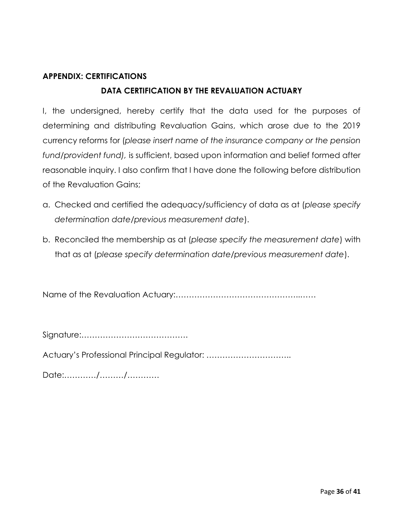# <span id="page-35-0"></span>**APPENDIX: CERTIFICATIONS**

# **DATA CERTIFICATION BY THE REVALUATION ACTUARY**

I, the undersigned, hereby certify that the data used for the purposes of determining and distributing Revaluation Gains, which arose due to the 2019 currency reforms for (*please insert name of the insurance company or the pension fund/provident fund),* is sufficient, based upon information and belief formed after reasonable inquiry. I also confirm that I have done the following before distribution of the Revaluation Gains;

- a. Checked and certified the adequacy/sufficiency of data as at (*please specify determination date/previous measurement date*).
- b. Reconciled the membership as at (*please specify the measurement date*) with that as at (*please specify determination date/previous measurement date*).

Name of the Revaluation Actuary:………………………………………..……

Signature:………………………………….

Actuary's Professional Principal Regulator: …………………………..

Date:…………/………/…………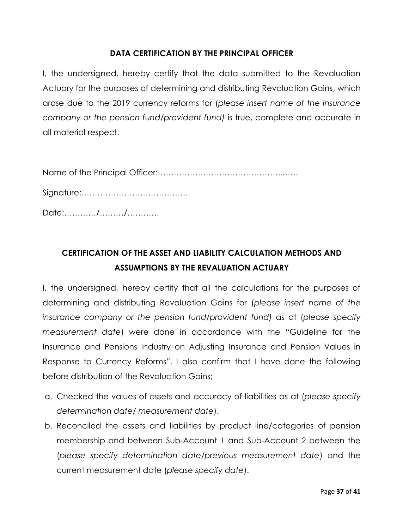### **DATA CERTIFICATION BY THE PRINCIPAL OFFICER**

I, the undersigned, hereby certify that the data submitted to the Revaluation Actuary for the purposes of determining and distributing Revaluation Gains, which arose due to the 2019 currency reforms for (*please insert name of the insurance company or the pension fund/provident fund)* is true, complete and accurate in all material respect.

Name of the Principal Officer:………………………………………..……

Signature:………………………………….

Date:…………/………/…………

# **CERTIFICATION OF THE ASSET AND LIABILITY CALCULATION METHODS AND ASSUMPTIONS BY THE REVALUATION ACTUARY**

I, the undersigned, hereby certify that all the calculations for the purposes of determining and distributing Revaluation Gains for (*please insert name of the insurance company or the pension fund/provident fund)* as at (*please specify measurement date*) were done in accordance with the "Guideline for the Insurance and Pensions Industry on Adjusting Insurance and Pension Values in Response to Currency Reforms". I also confirm that I have done the following before distribution of the Revaluation Gains;

- a. Checked the values of assets and accuracy of liabilities as at (*please specify determination date/ measurement date*).
- b. Reconciled the assets and liabilities by product line/categories of pension membership and between Sub-Account 1 and Sub-Account 2 between the (*please specify determination date/previous measurement date*) and the current measurement date (*please specify date*).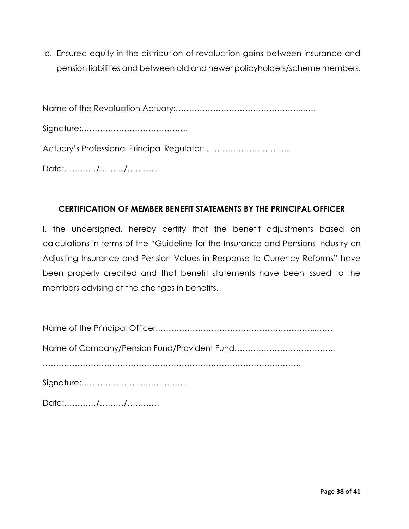c. Ensured equity in the distribution of revaluation gains between insurance and pension liabilities and between old and newer policyholders/scheme members.

Name of the Revaluation Actuary:………………………………………..…… Signature:…………………………………. Actuary's Professional Principal Regulator: ………………………….. Date:…………/………/…………

#### **CERTIFICATION OF MEMBER BENEFIT STATEMENTS BY THE PRINCIPAL OFFICER**

I, the undersigned, hereby certify that the benefit adjustments based on calculations in terms of the "Guideline for the Insurance and Pensions Industry on Adjusting Insurance and Pension Values in Response to Currency Reforms" have been properly credited and that benefit statements have been issued to the members advising of the changes in benefits.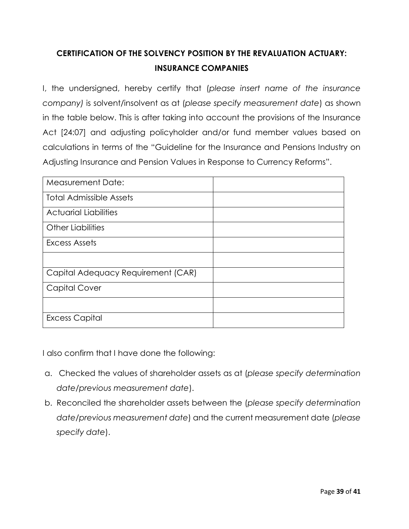# **CERTIFICATION OF THE SOLVENCY POSITION BY THE REVALUATION ACTUARY: INSURANCE COMPANIES**

I, the undersigned, hereby certify that (*please insert name of the insurance company)* is solvent/insolvent as at (*please specify measurement date*) as shown in the table below. This is after taking into account the provisions of the Insurance Act [24:07] and adjusting policyholder and/or fund member values based on calculations in terms of the "Guideline for the Insurance and Pensions Industry on Adjusting Insurance and Pension Values in Response to Currency Reforms".

| <b>Measurement Date:</b>           |  |
|------------------------------------|--|
| <b>Total Admissible Assets</b>     |  |
| <b>Actuarial Liabilities</b>       |  |
| <b>Other Liabilities</b>           |  |
| Excess Assets                      |  |
|                                    |  |
| Capital Adequacy Requirement (CAR) |  |
| <b>Capital Cover</b>               |  |
|                                    |  |
| <b>Excess Capital</b>              |  |

I also confirm that I have done the following:

- a. Checked the values of shareholder assets as at (*please specify determination date/previous measurement date*).
- b. Reconciled the shareholder assets between the (*please specify determination date/previous measurement date*) and the current measurement date (*please specify date*).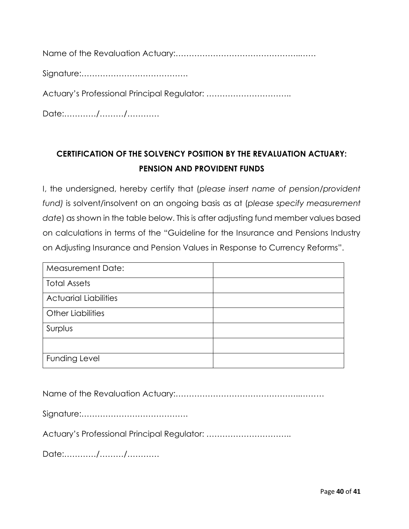Name of the Revaluation Actuary:………………………………………..……

Signature:………………………………….

Actuary's Professional Principal Regulator: …………………………..

Date:…………/………/…………

# **CERTIFICATION OF THE SOLVENCY POSITION BY THE REVALUATION ACTUARY: PENSION AND PROVIDENT FUNDS**

I, the undersigned, hereby certify that (*please insert name of pension/provident fund)* is solvent/insolvent on an ongoing basis as at (*please specify measurement date*) as shown in the table below. This is after adjusting fund member values based on calculations in terms of the "Guideline for the Insurance and Pensions Industry on Adjusting Insurance and Pension Values in Response to Currency Reforms".

| <b>Measurement Date:</b>     |  |
|------------------------------|--|
| <b>Total Assets</b>          |  |
| <b>Actuarial Liabilities</b> |  |
| Other Liabilities            |  |
| Surplus                      |  |
|                              |  |
| Funding Level                |  |

Name of the Revaluation Actuary:………………………………………..………

Signature:………………………………….

Actuary's Professional Principal Regulator: …………………………..

Date:…………/………/…………